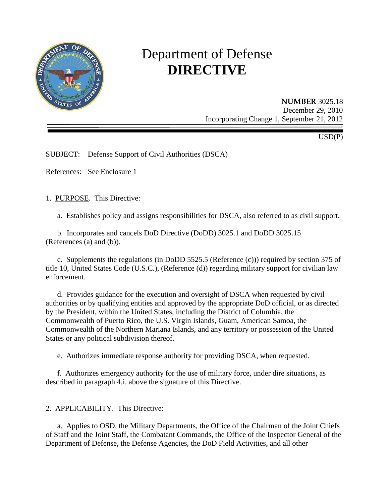

# Department of Defense **DIRECTIVE**

**NUMBER** 3025.18 December 29, 2010 Incorporating Change 1, September 21, 2012

USD(P)

SUBJECT: Defense Support of Civil Authorities (DSCA)

References: See Enclosure 1

1. PURPOSE. This Directive:

a. Establishes policy and assigns responsibilities for DSCA, also referred to as civil support.

b. Incorporates and cancels DoD Directive (DoDD) 3025.1 and DoDD 3025.15 (References (a) and (b)).

c. Supplements the regulations (in DoDD 5525.5 (Reference (c))) required by section 375 of title 10, United States Code (U.S.C.), (Reference (d)) regarding military support for civilian law enforcement.

d. Provides guidance for the execution and oversight of DSCA when requested by civil authorities or by qualifying entities and approved by the appropriate DoD official, or as directed by the President, within the United States, including the District of Columbia, the Commonwealth of Puerto Rico, the U.S. Virgin Islands, Guam, American Samoa, the Commonwealth of the Northern Mariana Islands, and any territory or possession of the United States or any political subdivision thereof.

e. Authorizes immediate response authority for providing DSCA, when requested.

f. Authorizes emergency authority for the use of military force, under dire situations, as described in paragraph 4.i. above the signature of this Directive.

#### 2. APPLICABILITY. This Directive:

a. Applies to OSD, the Military Departments, the Office of the Chairman of the Joint Chiefs of Staff and the Joint Staff, the Combatant Commands, the Office of the Inspector General of the Department of Defense, the Defense Agencies, the DoD Field Activities, and all other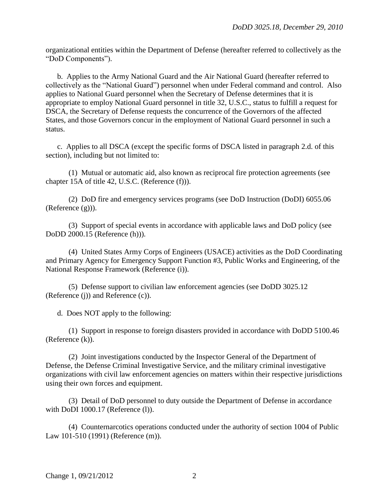organizational entities within the Department of Defense (hereafter referred to collectively as the "DoD Components").

b. Applies to the Army National Guard and the Air National Guard (hereafter referred to collectively as the "National Guard") personnel when under Federal command and control. Also applies to National Guard personnel when the Secretary of Defense determines that it is appropriate to employ National Guard personnel in title 32, U.S.C., status to fulfill a request for DSCA, the Secretary of Defense requests the concurrence of the Governors of the affected States, and those Governors concur in the employment of National Guard personnel in such a status.

c. Applies to all DSCA (except the specific forms of DSCA listed in paragraph 2.d. of this section), including but not limited to:

(1) Mutual or automatic aid, also known as reciprocal fire protection agreements (see chapter 15A of title 42, U.S.C. (Reference (f))).

(2) DoD fire and emergency services programs (see DoD Instruction (DoDI) 6055.06 (Reference (g))).

(3) Support of special events in accordance with applicable laws and DoD policy (see DoDD 2000.15 (Reference (h))).

(4) United States Army Corps of Engineers (USACE) activities as the DoD Coordinating and Primary Agency for Emergency Support Function #3, Public Works and Engineering, of the National Response Framework (Reference (i)).

(5) Defense support to civilian law enforcement agencies (see DoDD 3025.12 (Reference (j)) and Reference (c)).

d. Does NOT apply to the following:

(1) Support in response to foreign disasters provided in accordance with DoDD 5100.46 (Reference (k)).

(2) Joint investigations conducted by the Inspector General of the Department of Defense, the Defense Criminal Investigative Service, and the military criminal investigative organizations with civil law enforcement agencies on matters within their respective jurisdictions using their own forces and equipment.

(3) Detail of DoD personnel to duty outside the Department of Defense in accordance with DoDI 1000.17 (Reference (1)).

(4) Counternarcotics operations conducted under the authority of section 1004 of Public Law 101-510 (1991) (Reference (m)).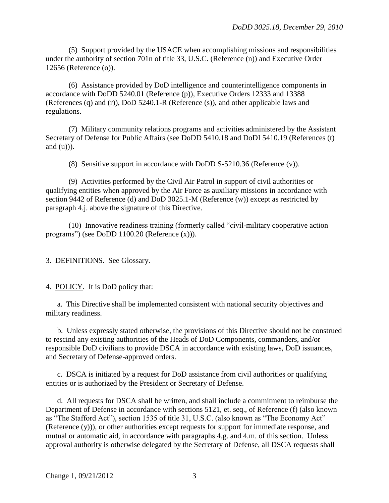(5) Support provided by the USACE when accomplishing missions and responsibilities under the authority of section 701n of title 33, U.S.C. (Reference (n)) and Executive Order 12656 (Reference (o)).

(6) Assistance provided by DoD intelligence and counterintelligence components in accordance with DoDD 5240.01 (Reference (p)), Executive Orders 12333 and 13388 (References (q) and (r)), DoD 5240.1-R (Reference (s)), and other applicable laws and regulations.

(7) Military community relations programs and activities administered by the Assistant Secretary of Defense for Public Affairs (see DoDD 5410.18 and DoDI 5410.19 (References (t) and  $(u)$ )).

(8) Sensitive support in accordance with DoDD S-5210.36 (Reference (v)).

(9) Activities performed by the Civil Air Patrol in support of civil authorities or qualifying entities when approved by the Air Force as auxiliary missions in accordance with section 9442 of Reference (d) and DoD 3025.1-M (Reference (w)) except as restricted by paragraph 4.j. above the signature of this Directive.

(10) Innovative readiness training (formerly called "civil-military cooperative action programs") (see DoDD 1100.20 (Reference (x))).

3. DEFINITIONS. See Glossary.

4. POLICY. It is DoD policy that:

a. This Directive shall be implemented consistent with national security objectives and military readiness.

b. Unless expressly stated otherwise, the provisions of this Directive should not be construed to rescind any existing authorities of the Heads of DoD Components, commanders, and/or responsible DoD civilians to provide DSCA in accordance with existing laws, DoD issuances, and Secretary of Defense-approved orders.

c. DSCA is initiated by a request for DoD assistance from civil authorities or qualifying entities or is authorized by the President or Secretary of Defense.

d. All requests for DSCA shall be written, and shall include a commitment to reimburse the Department of Defense in accordance with sections 5121, et. seq., of Reference (f) (also known as "The Stafford Act"), section 1535 of title 31, U.S.C. (also known as "The Economy Act" (Reference (y))), or other authorities except requests for support for immediate response, and mutual or automatic aid, in accordance with paragraphs 4.g. and 4.m. of this section. Unless approval authority is otherwise delegated by the Secretary of Defense, all DSCA requests shall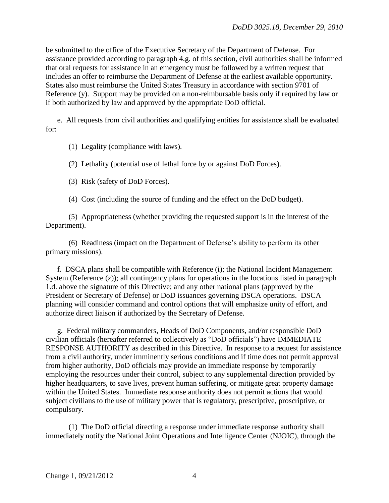be submitted to the office of the Executive Secretary of the Department of Defense. For assistance provided according to paragraph 4.g. of this section, civil authorities shall be informed that oral requests for assistance in an emergency must be followed by a written request that includes an offer to reimburse the Department of Defense at the earliest available opportunity. States also must reimburse the United States Treasury in accordance with section 9701 of Reference (y). Support may be provided on a non-reimbursable basis only if required by law or if both authorized by law and approved by the appropriate DoD official.

e. All requests from civil authorities and qualifying entities for assistance shall be evaluated for:

(1) Legality (compliance with laws).

(2) Lethality (potential use of lethal force by or against DoD Forces).

(3) Risk (safety of DoD Forces).

(4) Cost (including the source of funding and the effect on the DoD budget).

(5) Appropriateness (whether providing the requested support is in the interest of the Department).

(6) Readiness (impact on the Department of Defense's ability to perform its other primary missions).

f. DSCA plans shall be compatible with Reference (i); the National Incident Management System (Reference (z)); all contingency plans for operations in the locations listed in paragraph 1.d. above the signature of this Directive; and any other national plans (approved by the President or Secretary of Defense) or DoD issuances governing DSCA operations. DSCA planning will consider command and control options that will emphasize unity of effort, and authorize direct liaison if authorized by the Secretary of Defense.

g. Federal military commanders, Heads of DoD Components, and/or responsible DoD civilian officials (hereafter referred to collectively as "DoD officials") have IMMEDIATE RESPONSE AUTHORITY as described in this Directive. In response to a request for assistance from a civil authority, under imminently serious conditions and if time does not permit approval from higher authority, DoD officials may provide an immediate response by temporarily employing the resources under their control, subject to any supplemental direction provided by higher headquarters, to save lives, prevent human suffering, or mitigate great property damage within the United States. Immediate response authority does not permit actions that would subject civilians to the use of military power that is regulatory, prescriptive, proscriptive, or compulsory.

(1) The DoD official directing a response under immediate response authority shall immediately notify the National Joint Operations and Intelligence Center (NJOIC), through the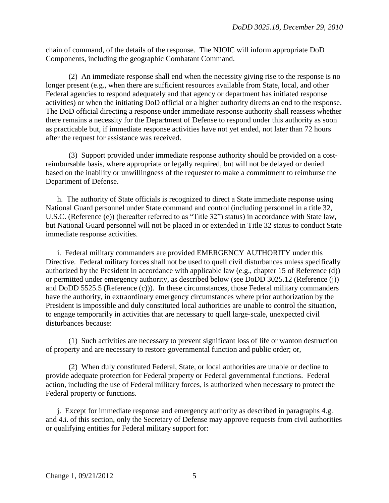chain of command, of the details of the response. The NJOIC will inform appropriate DoD Components, including the geographic Combatant Command.

(2) An immediate response shall end when the necessity giving rise to the response is no longer present (e.g., when there are sufficient resources available from State, local, and other Federal agencies to respond adequately and that agency or department has initiated response activities) or when the initiating DoD official or a higher authority directs an end to the response. The DoD official directing a response under immediate response authority shall reassess whether there remains a necessity for the Department of Defense to respond under this authority as soon as practicable but, if immediate response activities have not yet ended, not later than 72 hours after the request for assistance was received.

(3) Support provided under immediate response authority should be provided on a costreimbursable basis, where appropriate or legally required, but will not be delayed or denied based on the inability or unwillingness of the requester to make a commitment to reimburse the Department of Defense.

h. The authority of State officials is recognized to direct a State immediate response using National Guard personnel under State command and control (including personnel in a title 32, U.S.C. (Reference (e)) (hereafter referred to as "Title 32") status) in accordance with State law, but National Guard personnel will not be placed in or extended in Title 32 status to conduct State immediate response activities.

i. Federal military commanders are provided EMERGENCY AUTHORITY under this Directive. Federal military forces shall not be used to quell civil disturbances unless specifically authorized by the President in accordance with applicable law (e.g., chapter 15 of Reference (d)) or permitted under emergency authority, as described below (see DoDD 3025.12 (Reference (j)) and DoDD 5525.5 (Reference (c))). In these circumstances, those Federal military commanders have the authority, in extraordinary emergency circumstances where prior authorization by the President is impossible and duly constituted local authorities are unable to control the situation, to engage temporarily in activities that are necessary to quell large-scale, unexpected civil disturbances because:

(1) Such activities are necessary to prevent significant loss of life or wanton destruction of property and are necessary to restore governmental function and public order; or,

(2) When duly constituted Federal, State, or local authorities are unable or decline to provide adequate protection for Federal property or Federal governmental functions. Federal action, including the use of Federal military forces, is authorized when necessary to protect the Federal property or functions.

j. Except for immediate response and emergency authority as described in paragraphs 4.g. and 4.i. of this section, only the Secretary of Defense may approve requests from civil authorities or qualifying entities for Federal military support for: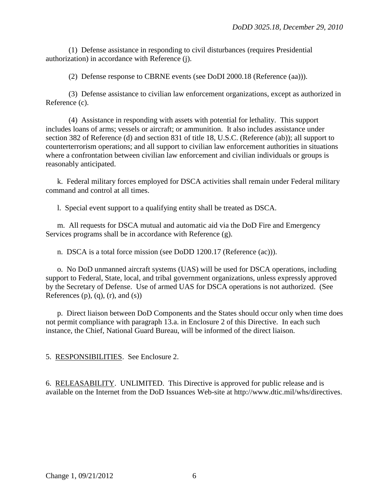(1) Defense assistance in responding to civil disturbances (requires Presidential authorization) in accordance with Reference (j).

(2) Defense response to CBRNE events (see DoDI 2000.18 (Reference (aa))).

(3) Defense assistance to civilian law enforcement organizations, except as authorized in Reference (c).

(4) Assistance in responding with assets with potential for lethality. This support includes loans of arms; vessels or aircraft; or ammunition. It also includes assistance under section 382 of Reference (d) and section 831 of title 18, U.S.C. (Reference (ab)); all support to counterterrorism operations; and all support to civilian law enforcement authorities in situations where a confrontation between civilian law enforcement and civilian individuals or groups is reasonably anticipated.

k. Federal military forces employed for DSCA activities shall remain under Federal military command and control at all times.

l. Special event support to a qualifying entity shall be treated as DSCA.

m. All requests for DSCA mutual and automatic aid via the DoD Fire and Emergency Services programs shall be in accordance with Reference (g).

n. DSCA is a total force mission (see DoDD 1200.17 (Reference (ac))).

o. No DoD unmanned aircraft systems (UAS) will be used for DSCA operations, including support to Federal, State, local, and tribal government organizations, unless expressly approved by the Secretary of Defense. Use of armed UAS for DSCA operations is not authorized. (See References  $(p)$ ,  $(q)$ ,  $(r)$ , and  $(s)$ )

p. Direct liaison between DoD Components and the States should occur only when time does not permit compliance with paragraph 13.a. in Enclosure 2 of this Directive. In each such instance, the Chief, National Guard Bureau, will be informed of the direct liaison.

5. RESPONSIBILITIES. See Enclosure 2.

6. RELEASABILITY. UNLIMITED. This Directive is approved for public release and is available on the Internet from the DoD Issuances Web-site at http://www.dtic.mil/whs/directives.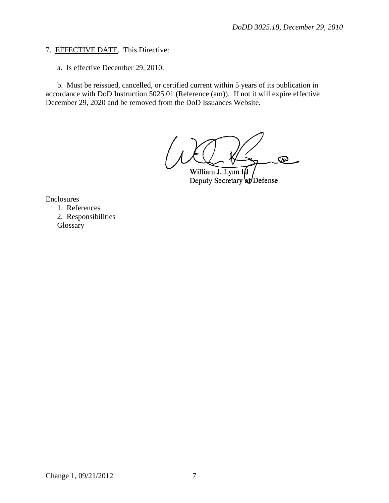## 7. EFFECTIVE DATE. This Directive:

a. Is effective December 29, 2010.

b. Must be reissued, cancelled, or certified current within 5 years of its publication in accordance with DoD Instruction 5025.01 (Reference (am)). If not it will expire effective December 29, 2020 and be removed from the DoD Issuances Website.

൶ William J. Lynn III

Deputy Secretary of Defense

Enclosures

1. References 2. Responsibilities **Glossary**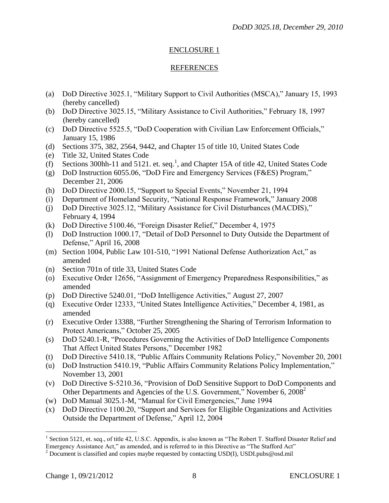# ENCLOSURE 1

## REFERENCES

- (a) DoD Directive 3025.1, "Military Support to Civil Authorities (MSCA)," January 15, 1993 (hereby cancelled)
- (b) DoD Directive 3025.15, "Military Assistance to Civil Authorities," February 18, 1997 (hereby cancelled)
- (c) DoD Directive 5525.5, "DoD Cooperation with Civilian Law Enforcement Officials," January 15, 1986
- (d) Sections 375, 382, 2564, 9442, and Chapter 15 of title 10, United States Code
- (e) Title 32, United States Code
- $(f)$  Sections 300hh-11 and 5121. et. seq.<sup>1</sup>, and Chapter 15A of title 42, United States Code
- (g) DoD Instruction 6055.06, "DoD Fire and Emergency Services (F&ES) Program," December 21, 2006
- (h) DoD Directive 2000.15, "Support to Special Events," November 21, 1994
- (i) Department of Homeland Security, "National Response Framework," January 2008
- (j) DoD Directive 3025.12, "Military Assistance for Civil Disturbances (MACDIS)," February 4, 1994
- (k) DoD Directive 5100.46, "Foreign Disaster Relief," December 4, 1975
- (l) DoD Instruction 1000.17, "Detail of DoD Personnel to Duty Outside the Department of Defense," April 16, 2008
- (m) Section 1004, Public Law 101-510, "1991 National Defense Authorization Act," as amended
- (n) Section 701n of title 33, United States Code
- (o) Executive Order 12656, "Assignment of Emergency Preparedness Responsibilities," as amended
- (p) DoD Directive 5240.01, "DoD Intelligence Activities," August 27, 2007
- (q) Executive Order 12333, "United States Intelligence Activities," December 4, 1981, as amended
- (r) Executive Order 13388, "Further Strengthening the Sharing of Terrorism Information to Protect Americans," October 25, 2005
- (s) DoD 5240.1-R, "Procedures Governing the Activities of DoD Intelligence Components That Affect United States Persons," December 1982
- (t) DoD Directive 5410.18, "Public Affairs Community Relations Policy," November 20, 2001
- (u) DoD Instruction 5410.19, "Public Affairs Community Relations Policy Implementation," November 13, 2001
- (v) DoD Directive S-5210.36, "Provision of DoD Sensitive Support to DoD Components and Other Departments and Agencies of the U.S. Government," November 6, 2008<sup>2</sup>
- (w) DoD Manual 3025.1-M, "Manual for Civil Emergencies," June 1994
- (x) DoD Directive 1100.20, "Support and Services for Eligible Organizations and Activities Outside the Department of Defense," April 12, 2004

 $\overline{a}$ <sup>1</sup> Section 5121, et. seq., of title 42, U.S.C. Appendix, is also known as "The Robert T. Stafford Disaster Relief and Emergency Assistance Act," as amended, and is referred to in this Directive as "The Stafford Act"

<sup>&</sup>lt;sup>2</sup> Document is classified and copies maybe requested by contacting USD(I), USDI.pubs@osd.mil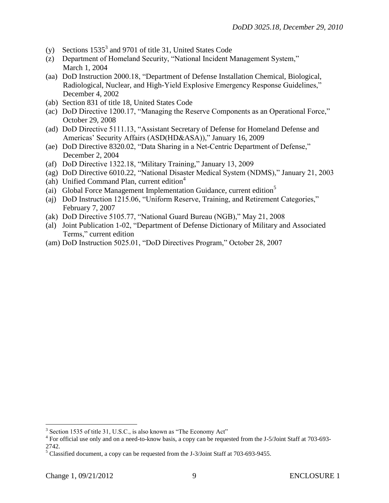- (y) Sections  $1535^3$  and 9701 of title 31, United States Code
- (z) Department of Homeland Security, "National Incident Management System," March 1, 2004
- (aa) DoD Instruction 2000.18, "Department of Defense Installation Chemical, Biological, Radiological, Nuclear, and High-Yield Explosive Emergency Response Guidelines," December 4, 2002
- (ab) Section 831 of title 18, United States Code
- (ac) DoD Directive 1200.17, "Managing the Reserve Components as an Operational Force," October 29, 2008
- (ad) DoD Directive 5111.13, "Assistant Secretary of Defense for Homeland Defense and Americas' Security Affairs (ASD(HD&ASA))," January 16, 2009
- (ae) DoD Directive 8320.02, "Data Sharing in a Net-Centric Department of Defense," December 2, 2004
- (af) DoD Directive 1322.18, "Military Training," January 13, 2009
- (ag) DoD Directive 6010.22, "National Disaster Medical System (NDMS)," January 21, 2003
- (ah) Unified Command Plan, current edition $4$
- (ai) Global Force Management Implementation Guidance, current edition<sup>5</sup>
- (aj) DoD Instruction 1215.06, "Uniform Reserve, Training, and Retirement Categories," February 7, 2007
- (ak) DoD Directive 5105.77, "National Guard Bureau (NGB)," May 21, 2008
- (al) Joint Publication 1-02, "Department of Defense Dictionary of Military and Associated Terms," current edition
- (am) DoD Instruction 5025.01, "DoD Directives Program," October 28, 2007

<sup>&</sup>lt;sup>3</sup> Section 1535 of title 31, U.S.C., is also known as "The Economy Act"

<sup>&</sup>lt;sup>4</sup> For official use only and on a need-to-know basis, a copy can be requested from the J-5/Joint Staff at 703-693-2742.

<sup>5</sup> Classified document, a copy can be requested from the J-3/Joint Staff at 703-693-9455.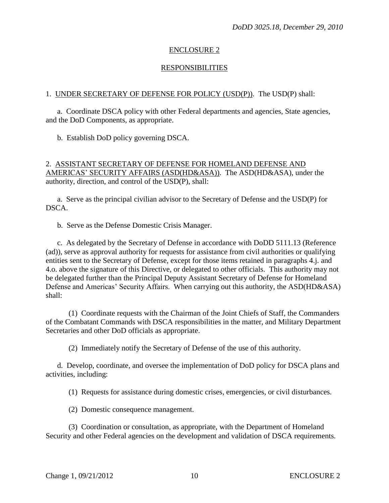## ENCLOSURE 2

## **RESPONSIBILITIES**

#### 1. UNDER SECRETARY OF DEFENSE FOR POLICY (USD(P)). The USD(P) shall:

a. Coordinate DSCA policy with other Federal departments and agencies, State agencies, and the DoD Components, as appropriate.

b. Establish DoD policy governing DSCA.

#### 2. ASSISTANT SECRETARY OF DEFENSE FOR HOMELAND DEFENSE AND AMERICAS' SECURITY AFFAIRS (ASD(HD&ASA)). The ASD(HD&ASA), under the authority, direction, and control of the USD(P), shall:

a. Serve as the principal civilian advisor to the Secretary of Defense and the USD(P) for DSCA.

b. Serve as the Defense Domestic Crisis Manager.

c. As delegated by the Secretary of Defense in accordance with DoDD 5111.13 (Reference (ad)), serve as approval authority for requests for assistance from civil authorities or qualifying entities sent to the Secretary of Defense, except for those items retained in paragraphs 4.j. and 4.o. above the signature of this Directive, or delegated to other officials. This authority may not be delegated further than the Principal Deputy Assistant Secretary of Defense for Homeland Defense and Americas' Security Affairs. When carrying out this authority, the ASD(HD&ASA) shall:

(1) Coordinate requests with the Chairman of the Joint Chiefs of Staff, the Commanders of the Combatant Commands with DSCA responsibilities in the matter, and Military Department Secretaries and other DoD officials as appropriate.

(2) Immediately notify the Secretary of Defense of the use of this authority.

d. Develop, coordinate, and oversee the implementation of DoD policy for DSCA plans and activities, including:

(1) Requests for assistance during domestic crises, emergencies, or civil disturbances.

(2) Domestic consequence management.

(3) Coordination or consultation, as appropriate, with the Department of Homeland Security and other Federal agencies on the development and validation of DSCA requirements.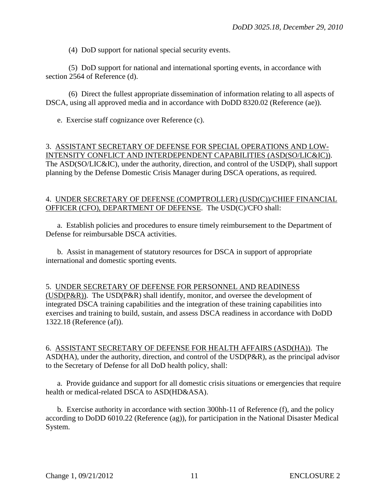(4) DoD support for national special security events.

(5) DoD support for national and international sporting events, in accordance with section 2564 of Reference (d).

(6) Direct the fullest appropriate dissemination of information relating to all aspects of DSCA, using all approved media and in accordance with DoDD 8320.02 (Reference (ae)).

e. Exercise staff cognizance over Reference (c).

#### 3. ASSISTANT SECRETARY OF DEFENSE FOR SPECIAL OPERATIONS AND LOW-INTENSITY CONFLICT AND INTERDEPENDENT CAPABILITIES (ASD(SO/LIC&IC)). The ASD(SO/LIC&IC), under the authority, direction, and control of the USD(P), shall support planning by the Defense Domestic Crisis Manager during DSCA operations, as required.

#### 4. UNDER SECRETARY OF DEFENSE (COMPTROLLER) (USD(C))/CHIEF FINANCIAL OFFICER (CFO), DEPARTMENT OF DEFENSE. The USD(C)/CFO shall:

a. Establish policies and procedures to ensure timely reimbursement to the Department of Defense for reimbursable DSCA activities.

b. Assist in management of statutory resources for DSCA in support of appropriate international and domestic sporting events.

## 5. UNDER SECRETARY OF DEFENSE FOR PERSONNEL AND READINESS

(USD(P&R)). The USD(P&R) shall identify, monitor, and oversee the development of integrated DSCA training capabilities and the integration of these training capabilities into exercises and training to build, sustain, and assess DSCA readiness in accordance with DoDD 1322.18 (Reference (af)).

6. ASSISTANT SECRETARY OF DEFENSE FOR HEALTH AFFAIRS (ASD(HA)). The ASD(HA), under the authority, direction, and control of the USD(P&R), as the principal advisor to the Secretary of Defense for all DoD health policy, shall:

a. Provide guidance and support for all domestic crisis situations or emergencies that require health or medical-related DSCA to ASD(HD&ASA).

b. Exercise authority in accordance with section 300hh-11 of Reference (f), and the policy according to DoDD 6010.22 (Reference (ag)), for participation in the National Disaster Medical System.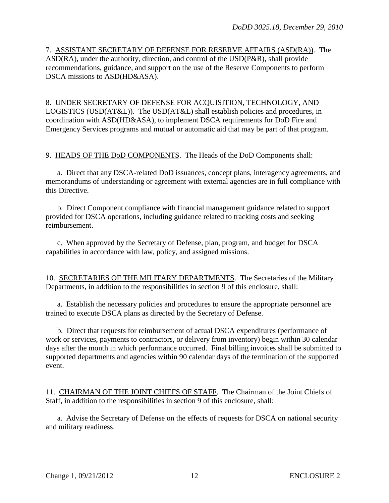7. ASSISTANT SECRETARY OF DEFENSE FOR RESERVE AFFAIRS (ASD(RA)). The ASD(RA), under the authority, direction, and control of the USD(P&R), shall provide recommendations, guidance, and support on the use of the Reserve Components to perform DSCA missions to ASD(HD&ASA).

8. UNDER SECRETARY OF DEFENSE FOR ACQUISITION, TECHNOLOGY, AND LOGISTICS (USD(AT&L)). The USD(AT&L) shall establish policies and procedures, in coordination with ASD(HD&ASA), to implement DSCA requirements for DoD Fire and Emergency Services programs and mutual or automatic aid that may be part of that program.

9. HEADS OF THE DoD COMPONENTS. The Heads of the DoD Components shall:

a. Direct that any DSCA-related DoD issuances, concept plans, interagency agreements, and memorandums of understanding or agreement with external agencies are in full compliance with this Directive.

b. Direct Component compliance with financial management guidance related to support provided for DSCA operations, including guidance related to tracking costs and seeking reimbursement.

c. When approved by the Secretary of Defense, plan, program, and budget for DSCA capabilities in accordance with law, policy, and assigned missions.

10. SECRETARIES OF THE MILITARY DEPARTMENTS. The Secretaries of the Military Departments, in addition to the responsibilities in section 9 of this enclosure, shall:

a. Establish the necessary policies and procedures to ensure the appropriate personnel are trained to execute DSCA plans as directed by the Secretary of Defense.

b. Direct that requests for reimbursement of actual DSCA expenditures (performance of work or services, payments to contractors, or delivery from inventory) begin within 30 calendar days after the month in which performance occurred. Final billing invoices shall be submitted to supported departments and agencies within 90 calendar days of the termination of the supported event.

11. CHAIRMAN OF THE JOINT CHIEFS OF STAFF. The Chairman of the Joint Chiefs of Staff, in addition to the responsibilities in section 9 of this enclosure, shall:

a. Advise the Secretary of Defense on the effects of requests for DSCA on national security and military readiness.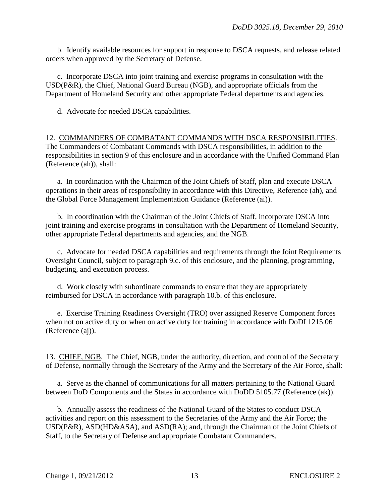b. Identify available resources for support in response to DSCA requests, and release related orders when approved by the Secretary of Defense.

c. Incorporate DSCA into joint training and exercise programs in consultation with the USD(P&R), the Chief, National Guard Bureau (NGB), and appropriate officials from the Department of Homeland Security and other appropriate Federal departments and agencies.

d. Advocate for needed DSCA capabilities.

12. COMMANDERS OF COMBATANT COMMANDS WITH DSCA RESPONSIBILITIES. The Commanders of Combatant Commands with DSCA responsibilities, in addition to the responsibilities in section 9 of this enclosure and in accordance with the Unified Command Plan (Reference (ah)), shall:

a. In coordination with the Chairman of the Joint Chiefs of Staff, plan and execute DSCA operations in their areas of responsibility in accordance with this Directive, Reference (ah), and the Global Force Management Implementation Guidance (Reference (ai)).

b. In coordination with the Chairman of the Joint Chiefs of Staff, incorporate DSCA into joint training and exercise programs in consultation with the Department of Homeland Security, other appropriate Federal departments and agencies, and the NGB.

c. Advocate for needed DSCA capabilities and requirements through the Joint Requirements Oversight Council, subject to paragraph 9.c. of this enclosure, and the planning, programming, budgeting, and execution process.

d. Work closely with subordinate commands to ensure that they are appropriately reimbursed for DSCA in accordance with paragraph 10.b. of this enclosure.

e. Exercise Training Readiness Oversight (TRO) over assigned Reserve Component forces when not on active duty or when on active duty for training in accordance with DoDI 1215.06 (Reference (aj)).

13. CHIEF, NGB. The Chief, NGB, under the authority, direction, and control of the Secretary of Defense, normally through the Secretary of the Army and the Secretary of the Air Force, shall:

a. Serve as the channel of communications for all matters pertaining to the National Guard between DoD Components and the States in accordance with DoDD 5105.77 (Reference (ak)).

b. Annually assess the readiness of the National Guard of the States to conduct DSCA activities and report on this assessment to the Secretaries of the Army and the Air Force; the USD(P&R), ASD(HD&ASA), and ASD(RA); and, through the Chairman of the Joint Chiefs of Staff, to the Secretary of Defense and appropriate Combatant Commanders.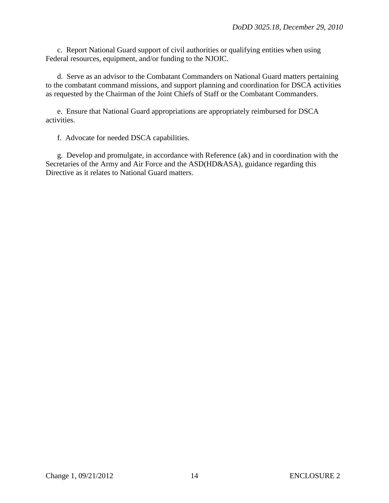c. Report National Guard support of civil authorities or qualifying entities when using Federal resources, equipment, and/or funding to the NJOIC.

d. Serve as an advisor to the Combatant Commanders on National Guard matters pertaining to the combatant command missions, and support planning and coordination for DSCA activities as requested by the Chairman of the Joint Chiefs of Staff or the Combatant Commanders.

e. Ensure that National Guard appropriations are appropriately reimbursed for DSCA activities.

f. Advocate for needed DSCA capabilities.

g. Develop and promulgate, in accordance with Reference (ak) and in coordination with the Secretaries of the Army and Air Force and the ASD(HD&ASA), guidance regarding this Directive as it relates to National Guard matters.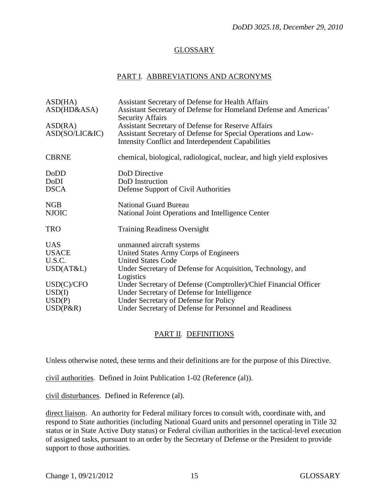## GLOSSARY

#### PART I. ABBREVIATIONS AND ACRONYMS

| ASD(HA)<br>ASD(HD&ASA)<br>ASD(RA)<br>ASD(SO/LIC&IC) | Assistant Secretary of Defense for Health Affairs<br>Assistant Secretary of Defense for Homeland Defense and Americas'<br><b>Security Affairs</b><br><b>Assistant Secretary of Defense for Reserve Affairs</b><br>Assistant Secretary of Defense for Special Operations and Low-<br>Intensity Conflict and Interdependent Capabilities |
|-----------------------------------------------------|----------------------------------------------------------------------------------------------------------------------------------------------------------------------------------------------------------------------------------------------------------------------------------------------------------------------------------------|
| <b>CBRNE</b>                                        | chemical, biological, radiological, nuclear, and high yield explosives                                                                                                                                                                                                                                                                 |
| DoDD<br>DoDI<br><b>DSCA</b>                         | DoD Directive<br>DoD Instruction<br>Defense Support of Civil Authorities                                                                                                                                                                                                                                                               |
| <b>NGB</b><br><b>NJOIC</b>                          | <b>National Guard Bureau</b><br>National Joint Operations and Intelligence Center                                                                                                                                                                                                                                                      |
| <b>TRO</b>                                          | <b>Training Readiness Oversight</b>                                                                                                                                                                                                                                                                                                    |
| <b>UAS</b><br><b>USACE</b><br>U.S.C.<br>USD(AT&L)   | unmanned aircraft systems<br>United States Army Corps of Engineers<br><b>United States Code</b><br>Under Secretary of Defense for Acquisition, Technology, and                                                                                                                                                                         |
| USD(C)/CFO<br>USD(I)<br>USD(P)<br>$USD(P\&R)$       | Logistics<br>Under Secretary of Defense (Comptroller)/Chief Financial Officer<br>Under Secretary of Defense for Intelligence<br>Under Secretary of Defense for Policy<br>Under Secretary of Defense for Personnel and Readiness                                                                                                        |
|                                                     |                                                                                                                                                                                                                                                                                                                                        |

## PART II. DEFINITIONS

Unless otherwise noted, these terms and their definitions are for the purpose of this Directive.

civil authorities. Defined in Joint Publication 1-02 (Reference (al)).

civil disturbances. Defined in Reference (al).

direct liaison. An authority for Federal military forces to consult with, coordinate with, and respond to State authorities (including National Guard units and personnel operating in Title 32 status or in State Active Duty status) or Federal civilian authorities in the tactical-level execution of assigned tasks, pursuant to an order by the Secretary of Defense or the President to provide support to those authorities.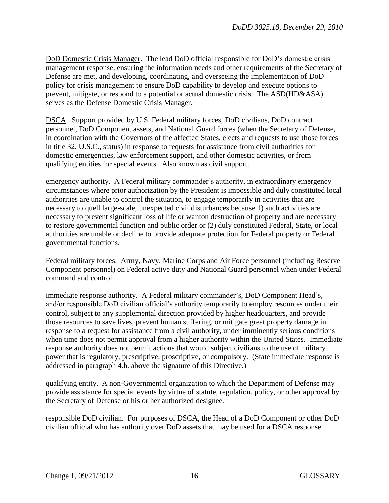DoD Domestic Crisis Manager. The lead DoD official responsible for DoD's domestic crisis management response, ensuring the information needs and other requirements of the Secretary of Defense are met, and developing, coordinating, and overseeing the implementation of DoD policy for crisis management to ensure DoD capability to develop and execute options to prevent, mitigate, or respond to a potential or actual domestic crisis. The ASD(HD&ASA) serves as the Defense Domestic Crisis Manager.

DSCA. Support provided by U.S. Federal military forces, DoD civilians, DoD contract personnel, DoD Component assets, and National Guard forces (when the Secretary of Defense, in coordination with the Governors of the affected States, elects and requests to use those forces in title 32, U.S.C., status) in response to requests for assistance from civil authorities for domestic emergencies, law enforcement support, and other domestic activities, or from qualifying entities for special events. Also known as civil support.

emergency authority. A Federal military commander's authority, in extraordinary emergency circumstances where prior authorization by the President is impossible and duly constituted local authorities are unable to control the situation, to engage temporarily in activities that are necessary to quell large-scale, unexpected civil disturbances because 1) such activities are necessary to prevent significant loss of life or wanton destruction of property and are necessary to restore governmental function and public order or (2) duly constituted Federal, State, or local authorities are unable or decline to provide adequate protection for Federal property or Federal governmental functions.

Federal military forces. Army, Navy, Marine Corps and Air Force personnel (including Reserve Component personnel) on Federal active duty and National Guard personnel when under Federal command and control.

immediate response authority. A Federal military commander's, DoD Component Head's, and/or responsible DoD civilian official's authority temporarily to employ resources under their control, subject to any supplemental direction provided by higher headquarters, and provide those resources to save lives, prevent human suffering, or mitigate great property damage in response to a request for assistance from a civil authority, under imminently serious conditions when time does not permit approval from a higher authority within the United States. Immediate response authority does not permit actions that would subject civilians to the use of military power that is regulatory, prescriptive, proscriptive, or compulsory. (State immediate response is addressed in paragraph 4.h. above the signature of this Directive.)

qualifying entity. A non-Governmental organization to which the Department of Defense may provide assistance for special events by virtue of statute, regulation, policy, or other approval by the Secretary of Defense or his or her authorized designee.

responsible DoD civilian. For purposes of DSCA, the Head of a DoD Component or other DoD civilian official who has authority over DoD assets that may be used for a DSCA response.